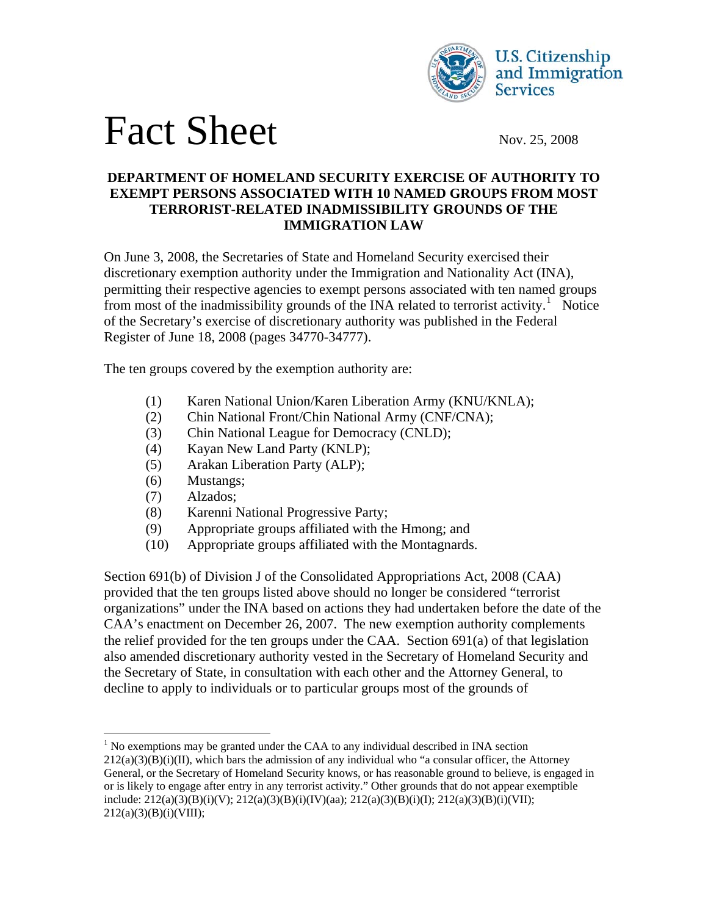



## **DEPARTMENT OF HOMELAND SECURITY EXERCISE OF AUTHORITY TO EXEMPT PERSONS ASSOCIATED WITH 10 NAMED GROUPS FROM MOST TERRORIST-RELATED INADMISSIBILITY GROUNDS OF THE IMMIGRATION LAW**

On June 3, 2008, the Secretaries of State and Homeland Security exercised their discretionary exemption authority under the Immigration and Nationality Act (INA), permitting their respective agencies to exempt persons associated with ten named groups from most of the inadmissibility grounds of the INA related to terrorist activity.<sup>[1](#page-0-0)</sup> Notice of the Secretary's exercise of discretionary authority was published in the Federal Register of June 18, 2008 (pages 34770-34777).

The ten groups covered by the exemption authority are:

- (1) Karen National Union/Karen Liberation Army (KNU/KNLA);
- (2) Chin National Front/Chin National Army (CNF/CNA);
- (3) Chin National League for Democracy (CNLD);
- (4) Kayan New Land Party (KNLP);
- (5) Arakan Liberation Party (ALP);
- (6) Mustangs;
- (7) Alzados;

 $\overline{a}$ 

- (8) Karenni National Progressive Party;
- (9) Appropriate groups affiliated with the Hmong; and
- (10) Appropriate groups affiliated with the Montagnards.

Section 691(b) of Division J of the Consolidated Appropriations Act, 2008 (CAA) provided that the ten groups listed above should no longer be considered "terrorist organizations" under the INA based on actions they had undertaken before the date of the CAA's enactment on December 26, 2007. The new exemption authority complements the relief provided for the ten groups under the CAA. Section 691(a) of that legislation also amended discretionary authority vested in the Secretary of Homeland Security and the Secretary of State, in consultation with each other and the Attorney General, to decline to apply to individuals or to particular groups most of the grounds of

<span id="page-0-0"></span> $<sup>1</sup>$  No exemptions may be granted under the CAA to any individual described in INA section</sup>  $212(a)(3)(B)(i)(II)$ , which bars the admission of any individual who "a consular officer, the Attorney

General, or the Secretary of Homeland Security knows, or has reasonable ground to believe, is engaged in or is likely to engage after entry in any terrorist activity." Other grounds that do not appear exemptible include: 212(a)(3)(B)(i)(V); 212(a)(3)(B)(i)(IV)(aa); 212(a)(3)(B)(i)(I); 212(a)(3)(B)(i)(VII); 212(a)(3)(B)(i)(VIII);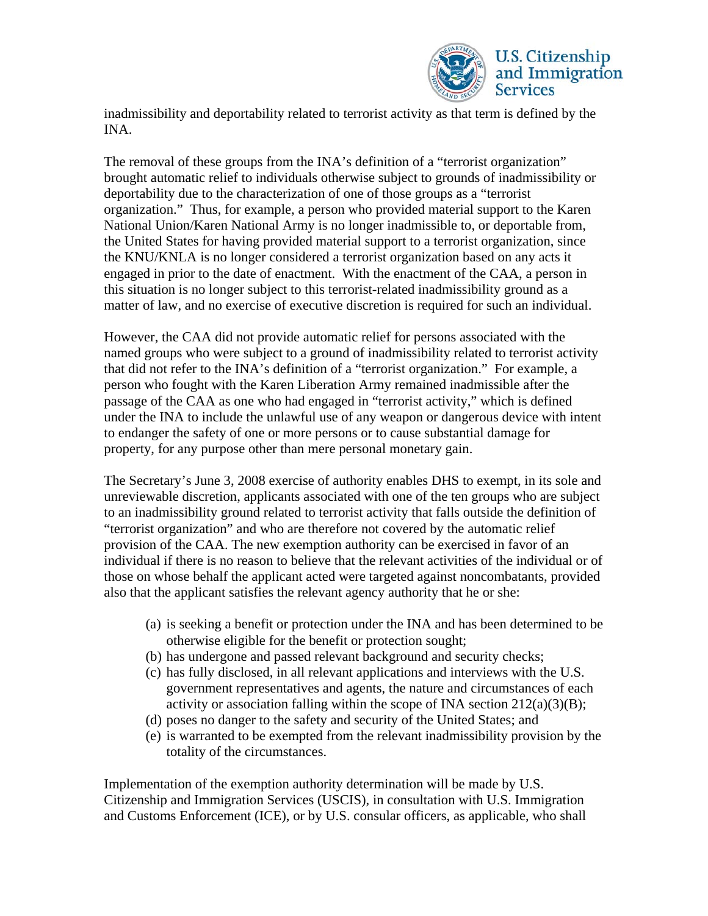

inadmissibility and deportability related to terrorist activity as that term is defined by the INA.

The removal of these groups from the INA's definition of a "terrorist organization" brought automatic relief to individuals otherwise subject to grounds of inadmissibility or deportability due to the characterization of one of those groups as a "terrorist organization." Thus, for example, a person who provided material support to the Karen National Union/Karen National Army is no longer inadmissible to, or deportable from, the United States for having provided material support to a terrorist organization, since the KNU/KNLA is no longer considered a terrorist organization based on any acts it engaged in prior to the date of enactment. With the enactment of the CAA, a person in this situation is no longer subject to this terrorist-related inadmissibility ground as a matter of law, and no exercise of executive discretion is required for such an individual.

However, the CAA did not provide automatic relief for persons associated with the named groups who were subject to a ground of inadmissibility related to terrorist activity that did not refer to the INA's definition of a "terrorist organization." For example, a person who fought with the Karen Liberation Army remained inadmissible after the passage of the CAA as one who had engaged in "terrorist activity," which is defined under the INA to include the unlawful use of any weapon or dangerous device with intent to endanger the safety of one or more persons or to cause substantial damage for property, for any purpose other than mere personal monetary gain.

The Secretary's June 3, 2008 exercise of authority enables DHS to exempt, in its sole and unreviewable discretion, applicants associated with one of the ten groups who are subject to an inadmissibility ground related to terrorist activity that falls outside the definition of "terrorist organization" and who are therefore not covered by the automatic relief provision of the CAA. The new exemption authority can be exercised in favor of an individual if there is no reason to believe that the relevant activities of the individual or of those on whose behalf the applicant acted were targeted against noncombatants, provided also that the applicant satisfies the relevant agency authority that he or she:

- (a) is seeking a benefit or protection under the INA and has been determined to be otherwise eligible for the benefit or protection sought;
- (b) has undergone and passed relevant background and security checks;
- (c) has fully disclosed, in all relevant applications and interviews with the U.S. government representatives and agents, the nature and circumstances of each activity or association falling within the scope of INA section  $212(a)(3)(B)$ ;
- (d) poses no danger to the safety and security of the United States; and
- (e) is warranted to be exempted from the relevant inadmissibility provision by the totality of the circumstances.

Implementation of the exemption authority determination will be made by U.S. Citizenship and Immigration Services (USCIS), in consultation with U.S. Immigration and Customs Enforcement (ICE), or by U.S. consular officers, as applicable, who shall